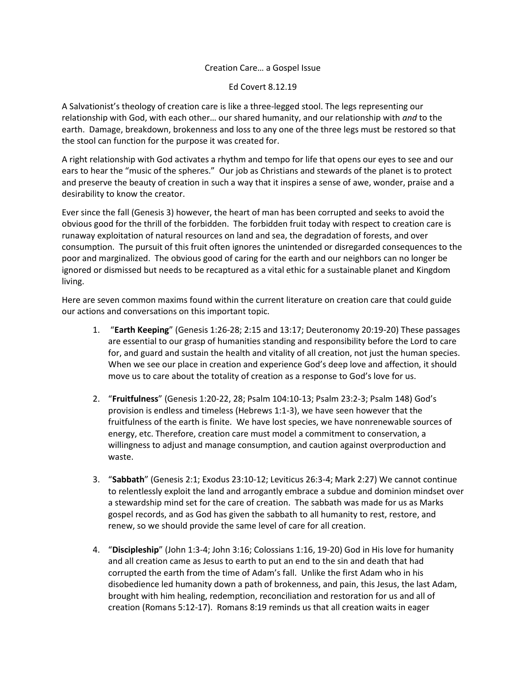## Creation Care… a Gospel Issue

Ed Covert 8.12.19

A Salvationist's theology of creation care is like a three-legged stool. The legs representing our relationship with God, with each other… our shared humanity, and our relationship with *and* to the earth. Damage, breakdown, brokenness and loss to any one of the three legs must be restored so that the stool can function for the purpose it was created for.

A right relationship with God activates a rhythm and tempo for life that opens our eyes to see and our ears to hear the "music of the spheres." Our job as Christians and stewards of the planet is to protect and preserve the beauty of creation in such a way that it inspires a sense of awe, wonder, praise and a desirability to know the creator.

Ever since the fall (Genesis 3) however, the heart of man has been corrupted and seeks to avoid the obvious good for the thrill of the forbidden. The forbidden fruit today with respect to creation care is runaway exploitation of natural resources on land and sea, the degradation of forests, and over consumption. The pursuit of this fruit often ignores the unintended or disregarded consequences to the poor and marginalized. The obvious good of caring for the earth and our neighbors can no longer be ignored or dismissed but needs to be recaptured as a vital ethic for a sustainable planet and Kingdom living.

Here are seven common maxims found within the current literature on creation care that could guide our actions and conversations on this important topic.

- 1. "**Earth Keeping**" (Genesis 1:26-28; 2:15 and 13:17; Deuteronomy 20:19-20) These passages are essential to our grasp of humanities standing and responsibility before the Lord to care for, and guard and sustain the health and vitality of all creation, not just the human species. When we see our place in creation and experience God's deep love and affection, it should move us to care about the totality of creation as a response to God's love for us.
- 2. "**Fruitfulness**" (Genesis 1:20-22, 28; Psalm 104:10-13; Psalm 23:2-3; Psalm 148) God's provision is endless and timeless (Hebrews 1:1-3), we have seen however that the fruitfulness of the earth is finite. We have lost species, we have nonrenewable sources of energy, etc. Therefore, creation care must model a commitment to conservation, a willingness to adjust and manage consumption, and caution against overproduction and waste.
- 3. "**Sabbath**" (Genesis 2:1; Exodus 23:10-12; Leviticus 26:3-4; Mark 2:27) We cannot continue to relentlessly exploit the land and arrogantly embrace a subdue and dominion mindset over a stewardship mind set for the care of creation. The sabbath was made for us as Marks gospel records, and as God has given the sabbath to all humanity to rest, restore, and renew, so we should provide the same level of care for all creation.
- 4. "**Discipleship**" (John 1:3-4; John 3:16; Colossians 1:16, 19-20) God in His love for humanity and all creation came as Jesus to earth to put an end to the sin and death that had corrupted the earth from the time of Adam's fall. Unlike the first Adam who in his disobedience led humanity down a path of brokenness, and pain, this Jesus, the last Adam, brought with him healing, redemption, reconciliation and restoration for us and all of creation (Romans 5:12-17). Romans 8:19 reminds us that all creation waits in eager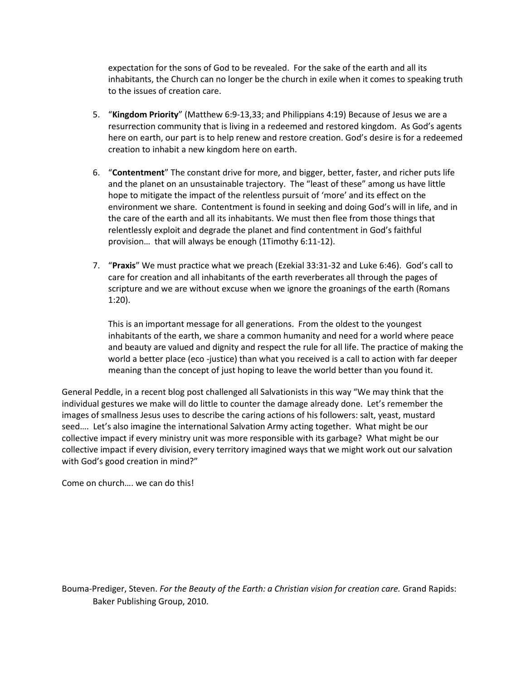expectation for the sons of God to be revealed. For the sake of the earth and all its inhabitants, the Church can no longer be the church in exile when it comes to speaking truth to the issues of creation care.

- 5. "**Kingdom Priority**" (Matthew 6:9-13,33; and Philippians 4:19) Because of Jesus we are a resurrection community that is living in a redeemed and restored kingdom. As God's agents here on earth, our part is to help renew and restore creation. God's desire is for a redeemed creation to inhabit a new kingdom here on earth.
- 6. "**Contentment**" The constant drive for more, and bigger, better, faster, and richer puts life and the planet on an unsustainable trajectory. The "least of these" among us have little hope to mitigate the impact of the relentless pursuit of 'more' and its effect on the environment we share. Contentment is found in seeking and doing God's will in life, and in the care of the earth and all its inhabitants. We must then flee from those things that relentlessly exploit and degrade the planet and find contentment in God's faithful provision… that will always be enough (1Timothy 6:11-12).
- 7. "**Praxis**" We must practice what we preach (Ezekial 33:31-32 and Luke 6:46). God's call to care for creation and all inhabitants of the earth reverberates all through the pages of scripture and we are without excuse when we ignore the groanings of the earth (Romans 1:20).

This is an important message for all generations. From the oldest to the youngest inhabitants of the earth, we share a common humanity and need for a world where peace and beauty are valued and dignity and respect the rule for all life. The practice of making the world a better place (eco -justice) than what you received is a call to action with far deeper meaning than the concept of just hoping to leave the world better than you found it.

General Peddle, in a recent blog post challenged all Salvationists in this way "We may think that the individual gestures we make will do little to counter the damage already done. Let's remember the images of smallness Jesus uses to describe the caring actions of his followers: salt, yeast, mustard seed…. Let's also imagine the international Salvation Army acting together. What might be our collective impact if every ministry unit was more responsible with its garbage? What might be our collective impact if every division, every territory imagined ways that we might work out our salvation with God's good creation in mind?"

Come on church…. we can do this!

Bouma-Prediger, Steven. *For the Beauty of the Earth: a Christian vision for creation care.* Grand Rapids: Baker Publishing Group, 2010.